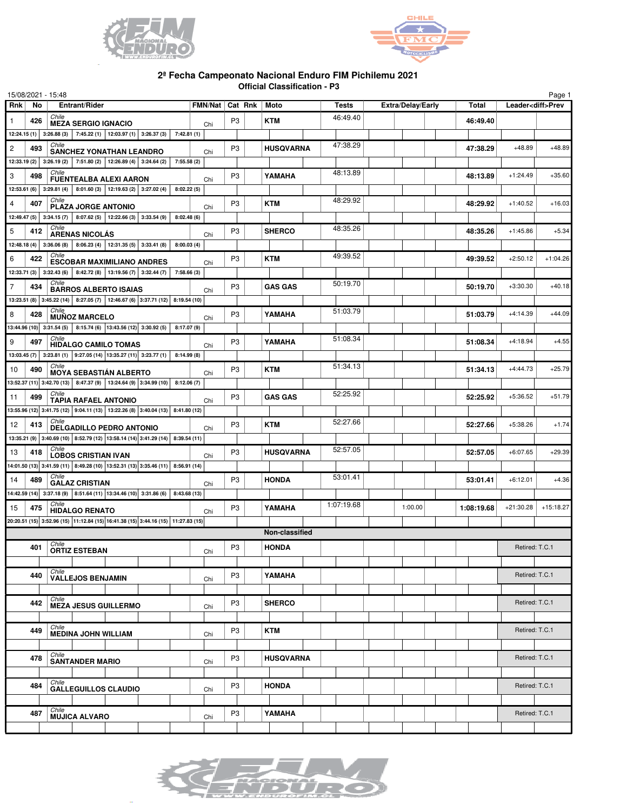



## **2ª Fecha Campeonato Nacional Enduro FIM Pichilemu 2021 Official Classification - P3**

|                |     | 15/08/2021 - 15:48                                                                           |            |     |                   |                  |              |                          |              |                | Page 1                   |
|----------------|-----|----------------------------------------------------------------------------------------------|------------|-----|-------------------|------------------|--------------|--------------------------|--------------|----------------|--------------------------|
| <b>Rnk</b>     | No  | Entrant/Rider                                                                                |            |     | FMN/Nat   Cat Rnk | Moto             | <b>Tests</b> | <b>Extra/Delay/Early</b> | <b>Total</b> |                | Leader <diff>Prev</diff> |
| $\mathbf{1}$   | 426 | Chile<br><b>MEZA SERGIO IGNACIO</b>                                                          |            | Chi | P <sub>3</sub>    | <b>KTM</b>       | 46:49.40     |                          | 46:49.40     |                |                          |
|                |     | 12:24.15 (1) 3:26.88 (3) 7:45.22 (1) 12:03.97 (1) 3:26.37 (3)                                | 7:42.81(1) |     |                   |                  |              |                          |              |                |                          |
| $\overline{c}$ | 493 | Chile<br><b>SANCHEZ YONATHAN LEANDRO</b>                                                     |            | Chi | P <sub>3</sub>    | <b>HUSQVARNA</b> | 47:38.29     |                          | 47:38.29     | $+48.89$       | $+48.89$                 |
|                |     | 12:33.19 (2) 3:26.19 (2) 7:51.80 (2) 12:26.89 (4) 3:24.64 (2)                                | 7:55.58(2) |     |                   |                  |              |                          |              |                |                          |
| 3              | 498 | Chile<br><b>FUENTEALBA ALEXI AARON</b>                                                       |            | Chi | P <sub>3</sub>    | YAMAHA           | 48:13.89     |                          | 48:13.89     | $+1:24.49$     | $+35.60$                 |
| 12:53.61(6)    |     | $8:01.60(3)$   12:19.63(2)   3:27.02(4)<br>3:29.81(4)                                        | 8:02.22(5) |     |                   |                  |              |                          |              |                |                          |
| 4              | 407 | Chile                                                                                        |            |     | P <sub>3</sub>    | <b>KTM</b>       | 48:29.92     |                          | 48:29.92     | $+1:40.52$     | $+16.03$                 |
|                |     | <b>PLAZA JORGE ANTONIO</b><br>12:49.47 (5) 3:34.15 (7) 8:07.62 (5) 12:22.66 (3) 3:33.54 (9)  | 8:02.48(6) | Chi |                   |                  |              |                          |              |                |                          |
| 5              | 412 | Chile                                                                                        |            |     | P <sub>3</sub>    | <b>SHERCO</b>    | 48:35.26     |                          | 48:35.26     | $+1:45.86$     | $+5.34$                  |
|                |     | <b>ARENAS NICOLÁS</b><br>12:48.18 (4) 3:36.06 (8) 8:06.23 (4) 12:31.35 (5) 3:33.41 (8)       | 8:00.03(4) | Chi |                   |                  |              |                          |              |                |                          |
| 6              | 422 | Chile                                                                                        |            |     | P <sub>3</sub>    | <b>KTM</b>       | 49:39.52     |                          | 49:39.52     | $+2:50.12$     | $+1:04.26$               |
|                |     | <b>ESCOBAR MAXIMILIANO ANDRES</b>                                                            |            | Chi |                   |                  |              |                          |              |                |                          |
|                |     | 12:33.71 (3) 3:32.43 (6) 8:42.72 (8) 13:19.56 (7) 3:32.44 (7)  <br>Chile                     | 7:58.66(3) |     |                   |                  | 50:19.70     |                          |              |                |                          |
| $\overline{7}$ | 434 | <b>BARROS ALBERTO ISAIAS</b>                                                                 |            | Chi | P <sub>3</sub>    | <b>GAS GAS</b>   |              |                          | 50:19.70     | $+3:30.30$     | $+40.18$                 |
|                |     | 13:23.51 (8) 3:45.22 (14) 8:27.05 (7) 12:46.67 (6) 3:37.71 (12) 8:19.54 (10)<br><i>Chile</i> |            |     |                   |                  | 51:03.79     |                          |              |                |                          |
| 8              | 428 | <b>MUÑOZ MARCELO</b>                                                                         |            | Chi | P <sub>3</sub>    | YAMAHA           |              |                          | 51:03.79     | $+4:14.39$     | $+44.09$                 |
|                |     | 13:44.96 (10) 3:31.54 (5) 8:15.74 (6) 13:43.56 (12) 3:30.92 (5)<br>Chile                     | 8:17.07(9) |     |                   |                  |              |                          |              |                |                          |
| 9              | 497 | <b>HIDALGO CAMILO TOMAS</b>                                                                  |            | Chi | P <sub>3</sub>    | YAMAHA           | 51:08.34     |                          | 51:08.34     | $+4:18.94$     | $+4.55$                  |
|                |     | 13:03.45 (7) 3:23.81 (1) 9:27.05 (14) 13:35.27 (11) 3:23.77 (1)                              | 8:14.99(8) |     |                   |                  |              |                          |              |                |                          |
| 10             | 490 | Chile<br><b>MOYA SEBASTIÁN ALBERTO</b>                                                       |            | Chi | P <sub>3</sub>    | <b>KTM</b>       | 51:34.13     |                          | 51:34.13     | $+4:44.73$     | $+25.79$                 |
|                |     | 13:52.37 (11) 3:42.70 (13) 8:47.37 (9) 13:24.64 (9) 3:34.99 (10)                             | 8:12.06(7) |     |                   |                  |              |                          |              |                |                          |
| 11             | 499 | Chile<br><b>TAPIA RAFAEL ANTONIO</b>                                                         |            | Chi | P <sub>3</sub>    | <b>GAS GAS</b>   | 52:25.92     |                          | 52:25.92     | $+5:36.52$     | $+51.79$                 |
|                |     | 13:55.96 (12) 3:41.75 (12) 9:04.11 (13) 13:22.26 (8) 3:40.04 (13) 8:41.80 (12)               |            |     |                   |                  |              |                          |              |                |                          |
| 12             | 413 | Chile<br><b>DELGADILLO PEDRO ANTONIO</b>                                                     |            | Chi | P <sub>3</sub>    | <b>KTM</b>       | 52:27.66     |                          | 52:27.66     | $+5:38.26$     | $+1.74$                  |
|                |     | 13:35.21 (9) 3:40.69 (10) 8:52.79 (12) 13:58.14 (14) 3:41.29 (14) 8:39.54 (11)               |            |     |                   |                  |              |                          |              |                |                          |
| 13             | 418 | Chile<br><b>LOBOS CRISTIAN IVAN</b>                                                          |            | Chi | P <sub>3</sub>    | <b>HUSQVARNA</b> | 52:57.05     |                          | 52:57.05     | $+6:07.65$     | $+29.39$                 |
|                |     | 14:01.50 (13) 3:41.59 (11) 8:49.28 (10) 13:52.31 (13) 3:35.46 (11) 8:56.91 (14)              |            |     |                   |                  |              |                          |              |                |                          |
| 14             | 489 | Chile<br><b>GALAZ CRISTIAN</b>                                                               |            | Chi | P <sub>3</sub>    | <b>HONDA</b>     | 53:01.41     |                          | 53:01.41     | $+6:12.01$     | $+4.36$                  |
|                |     | 14:42.59 (14) 3:37.18 (9) 8:51.64 (11) 13:34.46 (10) 3:31.86 (6) 8:43.68 (13)                |            |     |                   |                  |              |                          |              |                |                          |
| 15             | 475 | Chile<br><b>HIDALGO RENATO</b>                                                               |            | Chi | P <sub>3</sub>    | YAMAHA           | 1:07:19.68   | 1:00.00                  | 1:08:19.68   | $+21:30.28$    | $+15:18.27$              |
|                |     | 20:20.51 (15) 3:52.96 (15) 11:12.84 (15) 16:41.38 (15) 3:44.16 (15) 11:27.83 (15)            |            |     |                   |                  |              |                          |              |                |                          |
|                |     |                                                                                              |            |     |                   | Non-classified   |              |                          |              |                |                          |
|                | 401 | Chile<br><b>ORTIZ ESTEBAN</b>                                                                |            |     | P <sub>3</sub>    | <b>HONDA</b>     |              |                          |              | Retired: T.C.1 |                          |
|                |     |                                                                                              |            | Chi |                   |                  |              |                          |              |                |                          |
|                | 440 | Chile<br><b>VALLEJOS BENJAMIN</b>                                                            |            |     | P <sub>3</sub>    | YAMAHA           |              |                          |              | Retired: T.C.1 |                          |
|                |     |                                                                                              |            | Chi |                   |                  |              |                          |              |                |                          |
|                | 442 | Chile                                                                                        |            |     | P <sub>3</sub>    | <b>SHERCO</b>    |              |                          |              | Retired: T.C.1 |                          |
|                |     | <b>MEZA JESUS GUILLERMO</b>                                                                  |            | Chi |                   |                  |              |                          |              |                |                          |
|                | 449 | Chile                                                                                        |            |     | P <sub>3</sub>    | <b>KTM</b>       |              |                          |              | Retired: T.C.1 |                          |
|                |     | <b>MEDINA JOHN WILLIAM</b>                                                                   |            | Chi |                   |                  |              |                          |              |                |                          |
|                |     | Chile                                                                                        |            |     |                   |                  |              |                          |              |                |                          |
|                | 478 | <b>SANTANDER MARIO</b>                                                                       |            | Chi | P <sub>3</sub>    | <b>HUSQVARNA</b> |              |                          |              | Retired: T.C.1 |                          |
|                |     | Chile                                                                                        |            |     |                   |                  |              |                          |              |                |                          |
|                | 484 | <b>GALLEGUILLOS CLAUDIO</b>                                                                  |            | Chi | P <sub>3</sub>    | <b>HONDA</b>     |              |                          |              | Retired: T.C.1 |                          |
|                |     | Chile                                                                                        |            |     |                   |                  |              |                          |              |                |                          |
|                | 487 | <b>MUJICA ALVARO</b>                                                                         |            | Chi | P <sub>3</sub>    | YAMAHA           |              |                          |              | Retired: T.C.1 |                          |
|                |     |                                                                                              |            |     |                   |                  |              |                          |              |                |                          |